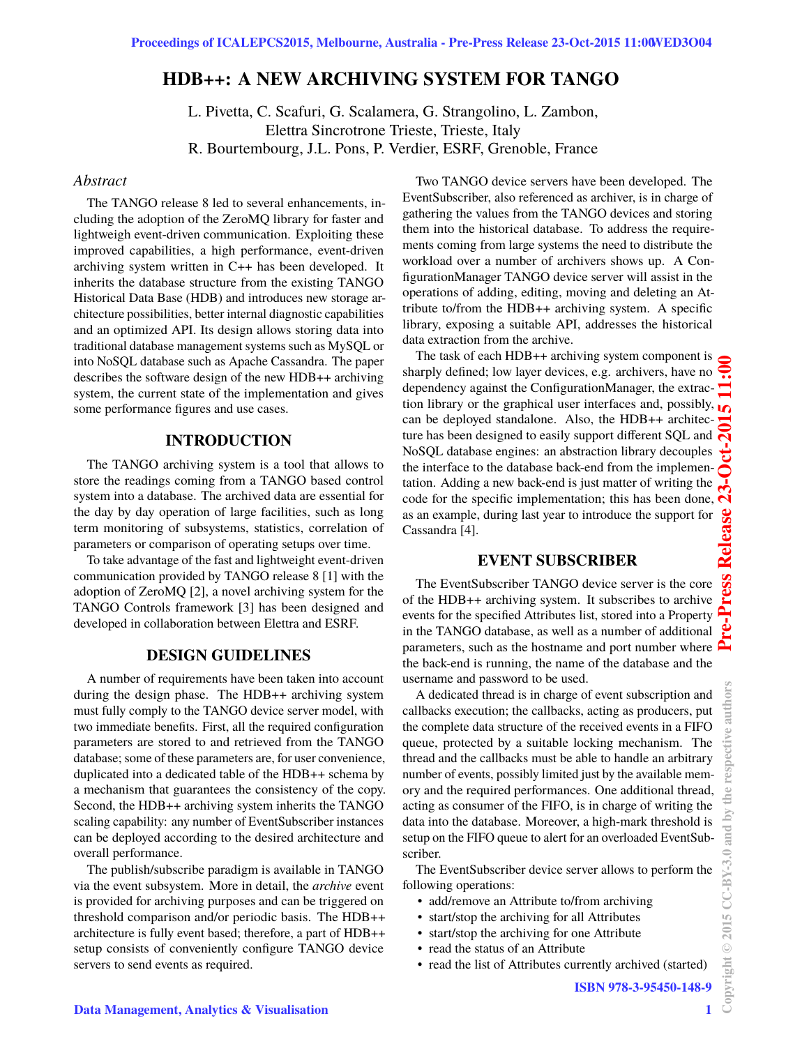# **HDB++: A NEW ARCHIVING SYSTEM FOR TANGO**

L. Pivetta, C. Scafuri, G. Scalamera, G. Strangolino, L. Zambon, Elettra Sincrotrone Trieste, Trieste, Italy R. Bourtembourg, J.L. Pons, P. Verdier, ESRF, Grenoble, France

#### *Abstract*

The TANGO release 8 led to several enhancements, including the adoption of the ZeroMQ library for faster and lightweigh event-driven communication. Exploiting these improved capabilities, a high performance, event-driven archiving system written in C++ has been developed. It inherits the database structure from the existing TANGO Historical Data Base (HDB) and introduces new storage architecture possibilities, better internal diagnostic capabilities and an optimized API. Its design allows storing data into traditional database management systems such as MySQL or into NoSQL database such as Apache Cassandra. The paper describes the software design of the new HDB++ archiving system, the current state of the implementation and gives some performance figures and use cases.

# **INTRODUCTION**

The TANGO archiving system is a tool that allows to store the readings coming from a TANGO based control system into a database. The archived data are essential for the day by day operation of large facilities, such as long term monitoring of subsystems, statistics, correlation of parameters or comparison of operating setups over time.

To take advantage of the fast and lightweight event-driven communication provided by TANGO release 8 [1] with the adoption of ZeroMQ [2], a novel archiving system for the TANGO Controls framework [3] has been designed and developed in collaboration between Elettra and ESRF.

# **DESIGN GUIDELINES**

A number of requirements have been taken into account during the design phase. The HDB++ archiving system must fully comply to the TANGO device server model, with two immediate benefits. First, all the required configuration parameters are stored to and retrieved from the TANGO database; some of these parameters are, for user convenience, duplicated into a dedicated table of the HDB++ schema by a mechanism that guarantees the consistency of the copy. Second, the HDB++ archiving system inherits the TANGO scaling capability: any number of EventSubscriber instances can be deployed according to the desired architecture and overall performance.

The publish/subscribe paradigm is available in TANGO via the event subsystem. More in detail, the *archive* event is provided for archiving purposes and can be triggered on threshold comparison and/or periodic basis. The HDB++ architecture is fully event based; therefore, a part of HDB++ setup consists of conveniently configure TANGO device servers to send events as required.

Two TANGO device servers have been developed. The EventSubscriber, also referenced as archiver, is in charge of gathering the values from the TANGO devices and storing them into the historical database. To address the requirements coming from large systems the need to distribute the workload over a number of archivers shows up. A ConfigurationManager TANGO device server will assist in the operations of adding, editing, moving and deleting an Attribute to/from the HDB++ archiving system. A specific library, exposing a suitable API, addresses the historical data extraction from the archive.

The task of each HDB++ archiving system component is sharply defined; low layer devices, e.g. archivers, have no dependency against the ConfigurationManager, the extraction library or the graphical user interfaces and, possibly, 5 can be deployed standalone. Also, the HDB++ architecture has been designed to easily support different SQL and NoSQL database engines: an abstraction library decouples the interface to the database back-end from the implementation. Adding a new back-end is just matter of writing the code for the specific implementation; this has been done, as an example, during last year to introduce the support for Cassandra [4].

## **EVENT SUBSCRIBER**

The EventSubscriber TANGO device server is the core of the HDB++ archiving system. It subscribes to archive events for the specified Attributes list, stored into a Property in the TANGO database, as well as a number of additional parameters, such as the hostname and port number where  $\sum_{n=1}^{\infty}$ the back-end is running, the name of the database and the username and password to be used.

A dedicated thread is in charge of event subscription and callbacks execution; the callbacks, acting as producers, put the complete data structure of the received events in a FIFO queue, protected by a suitable locking mechanism. The thread and the callbacks must be able to handle an arbitrary number of events, possibly limited just by the available memory and the required performances. One additional thread, acting as consumer of the FIFO, is in charge of writing the data into the database. Moreover, a high-mark threshold is setup on the FIFO queue to alert for an overloaded EventSubscriber.

The EventSubscriber device server allows to perform the following operations:

- add/remove an Attribute to/from archiving
- start/stop the archiving for all Attributes
- start/stop the archiving for one Attribute
- read the status of an Attribute
- read the list of Attributes currently archived (started)

**1**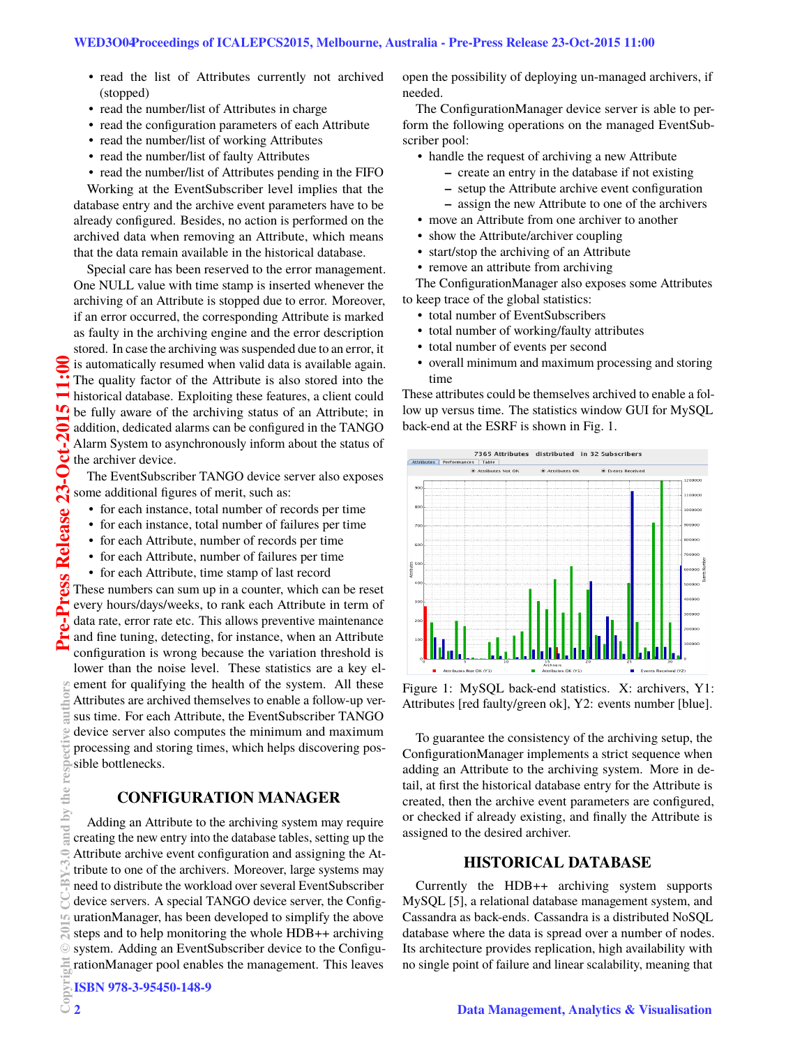- read the list of Attributes currently not archived (stopped)
- read the number/list of Attributes in charge
- read the configuration parameters of each Attribute
- read the number/list of working Attributes
- read the number/list of faulty Attributes
- read the number/list of Attributes pending in the FIFO

Working at the EventSubscriber level implies that the database entry and the archive event parameters have to be already configured. Besides, no action is performed on the archived data when removing an Attribute, which means that the data remain available in the historical database.

Special care has been reserved to the error management. One NULL value with time stamp is inserted whenever the archiving of an Attribute is stopped due to error. Moreover, if an error occurred, the corresponding Attribute is marked as faulty in the archiving engine and the error description stored. In case the archiving was suspended due to an error, it **2015 CC-BY-3.0 and by the respective authors Pre-Press Release 23-Oct-2015 11:00** is automatically resumed when valid data is available again. The quality factor of the Attribute is also stored into the historical database. Exploiting these features, a client could be fully aware of the archiving status of an Attribute; in addition, dedicated alarms can be configured in the TANGO Alarm System to asynchronously inform about the status of ರ the archiver device.

The EventSubscriber TANGO device server also exposes Some additional figures of merit, such as:

- for each instance, total number of records per time
- for each instance, total number of failures per time
- for each Attribute, number of records per time
- for each Attribute, number of failures per time
- for each Attribute, time stamp of last record

These numbers can sum up in a counter, which can be reset every hours/days/weeks, to rank each Attribute in term of data rate, error rate etc. This allows preventive maintenance and fine tuning, detecting, for instance, when an Attribute configuration is wrong because the variation threshold is

lower than the noise level. These statistics are a key element for qualifying the health of the system. All these Attributes are archived themselves to enable a follow-up versus time. For each Attribute, the EventSubscriber TANGO device server also computes the minimum and maximum processing and storing times, which helps discovering possible bottlenecks.

# **CONFIGURATION MANAGER**

Adding an Attribute to the archiving system may require creating the new entry into the database tables, setting up the Attribute archive event configuration and assigning the Attribute to one of the archivers. Moreover, large systems may need to distribute the workload over several EventSubscriber device servers. A special TANGO device server, the ConfigurationManager, has been developed to simplify the above steps and to help monitoring the whole HDB++ archiving system. Adding an EventSubscriber device to the ConfigurationManager pool enables the management. This leaves

open the possibility of deploying un-managed archivers, if needed.

The ConfigurationManager device server is able to perform the following operations on the managed EventSubscriber pool:

- handle the request of archiving a new Attribute
	- **–** create an entry in the database if not existing
	- **–** setup the Attribute archive event configuration
	- **–** assign the new Attribute to one of the archivers
- move an Attribute from one archiver to another
- show the Attribute/archiver coupling
- start/stop the archiving of an Attribute
- remove an attribute from archiving

The ConfigurationManager also exposes some Attributes to keep trace of the global statistics:

- total number of EventSubscribers
- total number of working/faulty attributes
- total number of events per second
- overall minimum and maximum processing and storing time

These attributes could be themselves archived to enable a follow up versus time. The statistics window GUI for MySQL back-end at the ESRF is shown in Fig. 1.



Figure 1: MySQL back-end statistics. X: archivers, Y1: Attributes [red faulty/green ok], Y2: events number [blue].

To guarantee the consistency of the archiving setup, the ConfigurationManager implements a strict sequence when adding an Attribute to the archiving system. More in detail, at first the historical database entry for the Attribute is created, then the archive event parameters are configured, or checked if already existing, and finally the Attribute is assigned to the desired archiver.

### **HISTORICAL DATABASE**

Currently the HDB++ archiving system supports MySQL [5], a relational database management system, and Cassandra as back-ends. Cassandra is a distributed NoSQL database where the data is spread over a number of nodes. Its architecture provides replication, high availability with no single point of failure and linear scalability, meaning that

ess Release

ζ. Ē

the  $\overline{5}$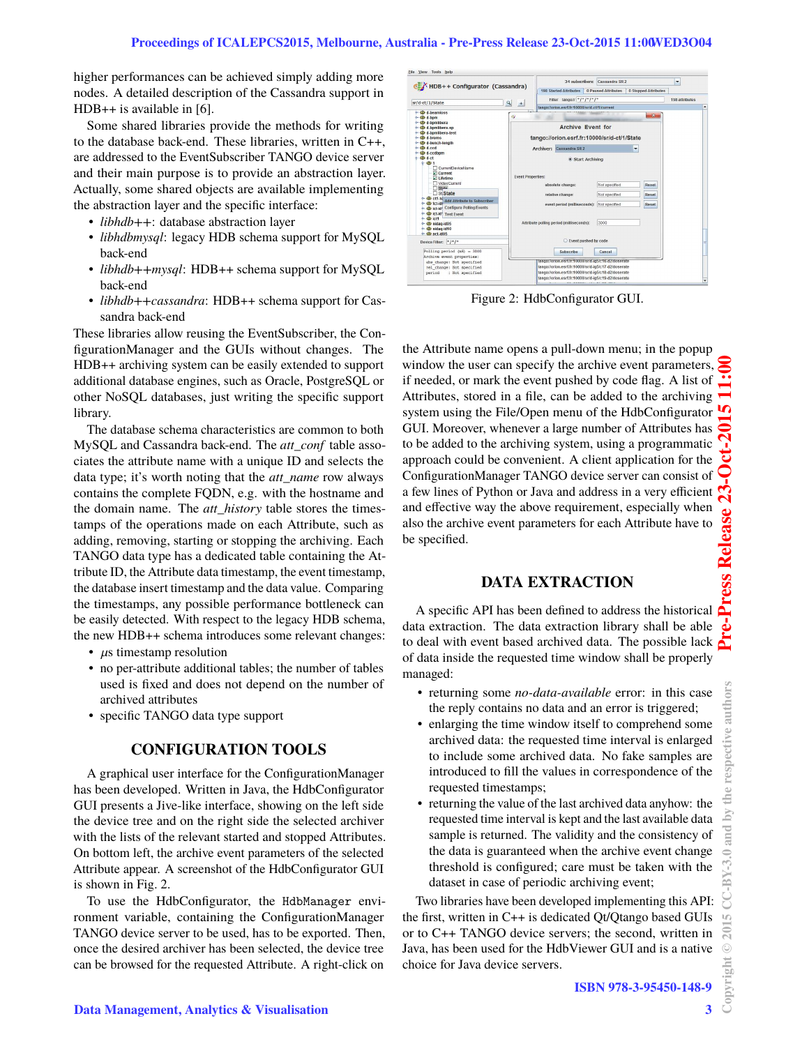higher performances can be achieved simply adding more nodes. A detailed description of the Cassandra support in HDB++ is available in [6].

Some shared libraries provide the methods for writing to the database back-end. These libraries, written in C++, are addressed to the EventSubscriber TANGO device server and their main purpose is to provide an abstraction layer. Actually, some shared objects are available implementing the abstraction layer and the specific interface:

- *libhdb++*: database abstraction layer
- *libhdbmysql*: legacy HDB schema support for MySQL back-end
- *libhdb++mysql*: HDB++ schema support for MySQL back-end
- *libhdb++cassandra*: HDB++ schema support for Cassandra back-end

These libraries allow reusing the EventSubscriber, the ConfigurationManager and the GUIs without changes. The HDB++ archiving system can be easily extended to support additional database engines, such as Oracle, PostgreSQL or other NoSQL databases, just writing the specific support library.

The database schema characteristics are common to both MySQL and Cassandra back-end. The *att\_conf* table associates the attribute name with a unique ID and selects the data type; it's worth noting that the *att\_name* row always contains the complete FQDN, e.g. with the hostname and the domain name. The *att\_history* table stores the timestamps of the operations made on each Attribute, such as adding, removing, starting or stopping the archiving. Each TANGO data type has a dedicated table containing the Attribute ID, the Attribute data timestamp, the event timestamp, the database insert timestamp and the data value. Comparing the timestamps, any possible performance bottleneck can be easily detected. With respect to the legacy HDB schema, the new HDB++ schema introduces some relevant changes:

- $\mu$ s timestamp resolution
- no per-attribute additional tables; the number of tables used is fixed and does not depend on the number of archived attributes
- specific TANGO data type support

# **CONFIGURATION TOOLS**

A graphical user interface for the ConfigurationManager has been developed. Written in Java, the HdbConfigurator GUI presents a Jive-like interface, showing on the left side the device tree and on the right side the selected archiver with the lists of the relevant started and stopped Attributes. On bottom left, the archive event parameters of the selected Attribute appear. A screenshot of the HdbConfigurator GUI is shown in Fig. 2.

To use the HdbConfigurator, the HdbManager environment variable, containing the ConfigurationManager TANGO device server to be used, has to be exported. Then, once the desired archiver has been selected, the device tree can be browsed for the requested Attribute. A right-click on

| HDB++ Configurator (Cassandra)                   |                                               |                        | 34 subscribers:                                      |                     | Cassandra SR 2       |       | ٠ |  |
|--------------------------------------------------|-----------------------------------------------|------------------------|------------------------------------------------------|---------------------|----------------------|-------|---|--|
|                                                  |                                               | 198 Started Attributes |                                                      | 0 Paused Attributes | 0 Stopped Attributes |       |   |  |
| $\mathbf{Q}$<br>sr/d-ct/1/State<br>$+$           |                                               |                        | Filter tango:// $*/*/*/*/*/*$                        |                     |                      |       |   |  |
|                                                  | tango://orion.esrf.fr:10000/sr/d-ct/1/current |                        |                                                      |                     |                      |       |   |  |
| $\leftarrow$ (b) d beamloss                      |                                               |                        |                                                      |                     |                      | $-8$  |   |  |
| $\sim$ (B) d.hom                                 | a)                                            |                        |                                                      |                     |                      |       |   |  |
| ←<br>d-bomlibera                                 |                                               |                        | <b>Archive Event for</b>                             |                     |                      |       |   |  |
| ← <b><i>db</i></b> d-bomlibera-sp                |                                               |                        |                                                      |                     |                      |       |   |  |
| + B d-bomlibera-test<br>$\leftarrow$ (B) d-brems |                                               |                        |                                                      |                     |                      |       |   |  |
| - (b) d-bunch-length                             |                                               |                        | tango://orion.esrf.fr:10000/sr/d-ct/1/State          |                     |                      |       |   |  |
|                                                  |                                               |                        |                                                      |                     |                      |       |   |  |
| $\leftarrow$ $\bigoplus$ d-codbom                |                                               |                        | Archiver: Cassandra SR 2                             |                     |                      |       |   |  |
| $9-CD$ d-ct                                      |                                               |                        | Start Archiving                                      |                     |                      |       |   |  |
| $9 - 601$                                        |                                               |                        |                                                      |                     |                      |       |   |  |
| CurrentDeviceName                                |                                               |                        |                                                      |                     |                      |       |   |  |
| Current                                          |                                               |                        |                                                      |                     |                      |       |   |  |
| 1 I ifetime                                      | <b>Event Properties:</b>                      |                        |                                                      |                     |                      |       |   |  |
| □ VideoCurrent                                   |                                               | absolute change:       |                                                      | Not specified       | Reset                |       |   |  |
| <b>State</b>                                     |                                               |                        |                                                      |                     |                      |       |   |  |
| □ StiState                                       |                                               |                        | relative change:                                     |                     | Not specified        | Reset |   |  |
| o- (b) ct1-te Add Attribute to Subscriber        |                                               |                        |                                                      |                     | Not specified        |       |   |  |
| o-<br>ict-id- Configure Polling/Events           |                                               |                        | event period (milliseconds):                         |                     |                      | Reset |   |  |
| - <b>B</b> ict-id' Test Event                    |                                               |                        |                                                      |                     |                      |       |   |  |
| $\sim$ db ict1                                   |                                               |                        |                                                      |                     |                      |       |   |  |
| $\leftarrow$ $\bigoplus$ nidag-id05              |                                               |                        | Attribute polling period (milliseconds):             |                     | 3000                 |       |   |  |
| - (B) nidag-id10                                 |                                               |                        |                                                      |                     |                      |       |   |  |
|                                                  |                                               |                        |                                                      |                     |                      |       |   |  |
| Device Filter: $\frac{w}{f^*f^*}$                |                                               |                        | C Event pushed by code                               |                     |                      |       |   |  |
|                                                  |                                               |                        |                                                      |                     |                      |       |   |  |
| $Polling period (mS) = 3000$                     |                                               |                        | Subscribe                                            |                     | Cancel               |       |   |  |
| Archive event properties:                        |                                               |                        |                                                      |                     |                      |       |   |  |
| abs change: Not specified                        |                                               |                        | tango:Forion.esrt.fr:10000/srid-ig5/c16-d2/doserate  |                     |                      |       |   |  |
| rel change: Not specified                        |                                               |                        | tango://orion.esrf.fr:10000/sr/d-ig5/c17-d2/doserate |                     |                      |       |   |  |
| period : Not specified                           |                                               |                        | tango://orion.esrf.fr:10000/sr/d-ig5/c18-d2/doserate |                     |                      |       |   |  |
|                                                  |                                               |                        | tango://orion.esrf.fr:10000/sr/d-ig5/c19-d2/doserate |                     |                      |       |   |  |

Figure 2: HdbConfigurator GUI.

the Attribute name opens a pull-down menu; in the popup window the user can specify the archive event parameters, if needed, or mark the event pushed by code flag. A list of Attributes, stored in a file, can be added to the archiving system using the File/Open menu of the HdbConfigurator GUI. Moreover, whenever a large number of Attributes has to be added to the archiving system, using a programmatic approach could be convenient. A client application for the ConfigurationManager TANGO device server can consist of a few lines of Python or Java and address in a very efficient and effective way the above requirement, especially when also the archive event parameters for each Attribute have to be specified.

# **DATA EXTRACTION**

A specific API has been defined to address the historical data extraction. The data extraction library shall be able to deal with event based archived data. The possible lack  $\triangle$ of data inside the requested time window shall be properly managed:

- returning some *no-data-available* error: in this case the reply contains no data and an error is triggered;
- enlarging the time window itself to comprehend some archived data: the requested time interval is enlarged to include some archived data. No fake samples are introduced to fill the values in correspondence of the requested timestamps;
- returning the value of the last archived data anyhow: the requested time interval is kept and the last available data sample is returned. The validity and the consistency of the data is guaranteed when the archive event change threshold is configured; care must be taken with the dataset in case of periodic archiving event;

Two libraries have been developed implementing this API: the first, written in C++ is dedicated Qt/Qtango based GUIs or to C++ TANGO device servers; the second, written in Java, has been used for the HdbViewer GUI and is a native choice for Java device servers.

Copyright

**©**

 $Y-3.0$ Ã J  $\mathbb{I}\mathbb{O}$  $\approx$ 

respective